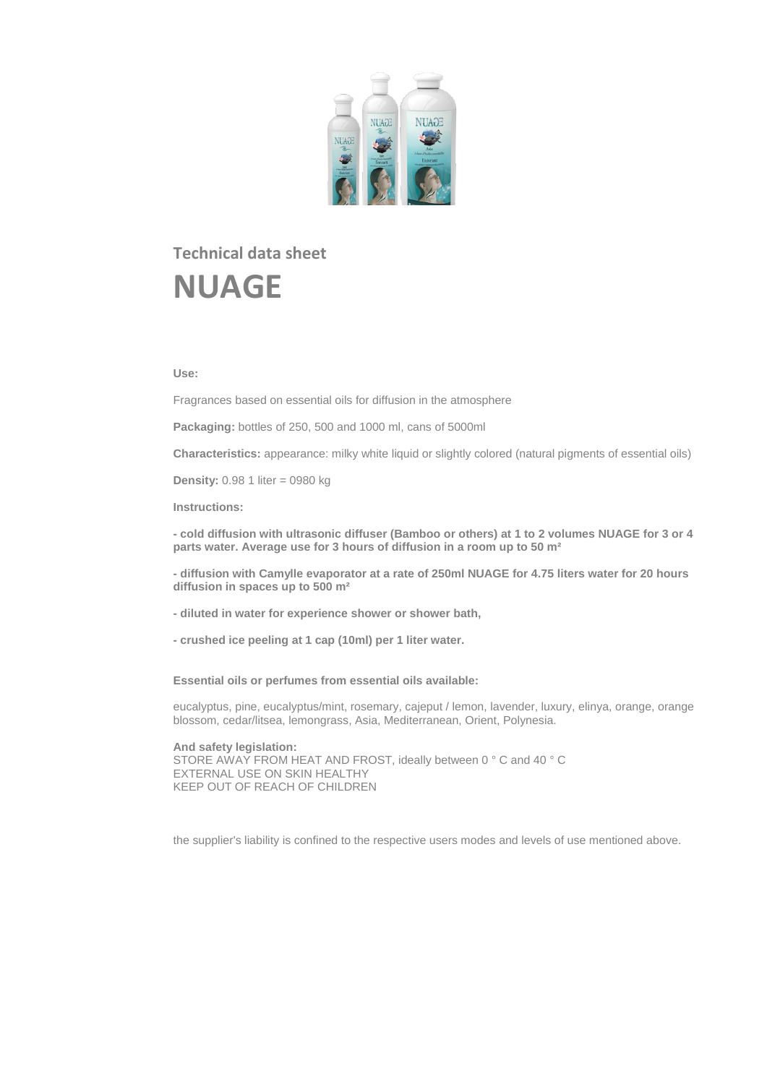

# **Technical data sheet NUAGE**

# **Use:**

Fragrances based on essential oils for diffusion in the atmosphere

**Packaging:** bottles of 250, 500 and 1000 ml, cans of 5000ml

**Characteristics:** appearance: milky white liquid or slightly colored (natural pigments of essential oils)

**Density:** 0.98 1 liter = 0980 kg

**Instructions:**

**- cold diffusion with ultrasonic diffuser (Bamboo or others) at 1 to 2 volumes NUAGE for 3 or 4 parts water. Average use for 3 hours of diffusion in a room up to 50 m²**

**- diffusion with Camylle evaporator at a rate of 250ml NUAGE for 4.75 liters water for 20 hours diffusion in spaces up to 500 m²**

- **- diluted in water for experience shower or shower bath,**
- **- crushed ice peeling at 1 cap (10ml) per 1 liter water.**

**Essential oils or perfumes from essential oils available:**

eucalyptus, pine, eucalyptus/mint, rosemary, cajeput / lemon, lavender, luxury, elinya, orange, orange blossom, cedar/litsea, lemongrass, Asia, Mediterranean, Orient, Polynesia.

**And safety legislation:** STORE AWAY FROM HEAT AND FROST, ideally between 0 ° C and 40 ° C EXTERNAL USE ON SKIN HEALTHY KEEP OUT OF REACH OF CHILDREN

the supplier's liability is confined to the respective users modes and levels of use mentioned above.